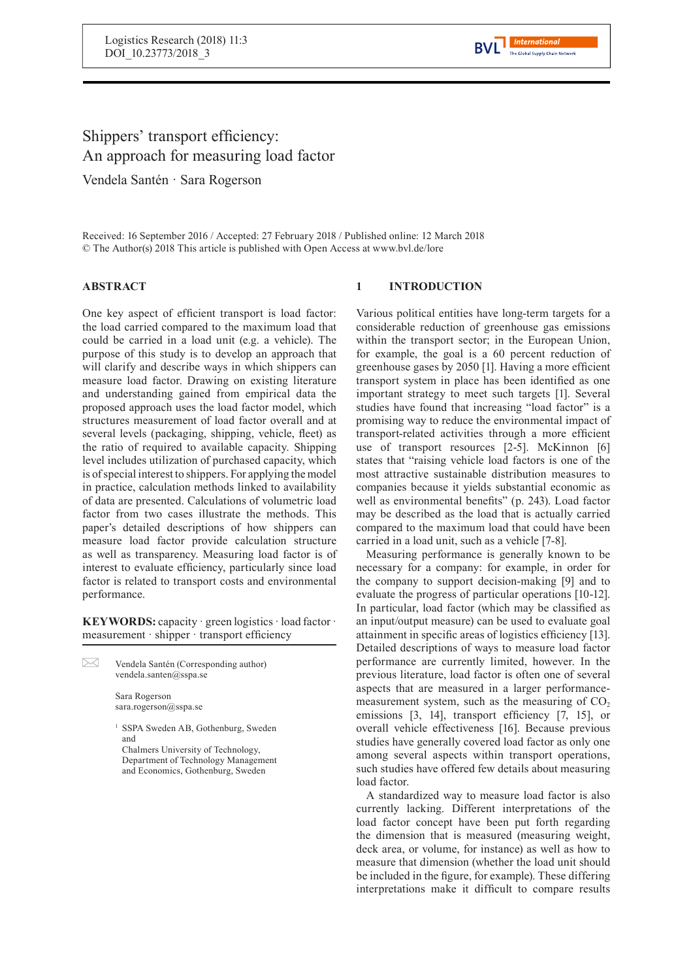

# Shippers' transport efficiency: An approach for measuring load factor

Vendela Santén · Sara Rogerson

Received: 16 September 2016 / Accepted: 27 February 2018 / Published online: 12 March 2018 © The Author(s) 2018 This article is published with Open Access at www.bvl.de/lore

## **ABSTRACT**

One key aspect of efficient transport is load factor: the load carried compared to the maximum load that could be carried in a load unit (e.g. a vehicle). The purpose of this study is to develop an approach that will clarify and describe ways in which shippers can measure load factor. Drawing on existing literature and understanding gained from empirical data the proposed approach uses the load factor model, which structures measurement of load factor overall and at several levels (packaging, shipping, vehicle, fleet) as the ratio of required to available capacity. Shipping level includes utilization of purchased capacity, which is of special interest to shippers. For applying the model in practice, calculation methods linked to availability of data are presented. Calculations of volumetric load factor from two cases illustrate the methods. This paper's detailed descriptions of how shippers can measure load factor provide calculation structure as well as transparency. Measuring load factor is of interest to evaluate efficiency, particularly since load factor is related to transport costs and environmental performance.

**KEYWORDS:** capacity · green logistics · load factor · measurement · shipper · transport efficiency

 $\boxtimes$ Vendela Santén (Corresponding author) vendela.santen@sspa.se

> Sara Rogerson sara.rogerson@sspa.se

<sup>1</sup> SSPA Sweden AB, Gothenburg, Sweden and

Chalmers University of Technology, Department of Technology Management and Economics, Gothenburg, Sweden

## **1 INTRODUCTION**

Various political entities have long-term targets for a considerable reduction of greenhouse gas emissions within the transport sector; in the European Union, for example, the goal is a 60 percent reduction of greenhouse gases by 2050 [1]. Having a more efficient transport system in place has been identified as one important strategy to meet such targets [1]. Several studies have found that increasing "load factor" is a promising way to reduce the environmental impact of transport-related activities through a more efficient use of transport resources [2-5]. McKinnon [6] states that "raising vehicle load factors is one of the most attractive sustainable distribution measures to companies because it yields substantial economic as well as environmental benefits" (p. 243). Load factor may be described as the load that is actually carried compared to the maximum load that could have been carried in a load unit, such as a vehicle [7-8].

Measuring performance is generally known to be necessary for a company: for example, in order for the company to support decision-making [9] and to evaluate the progress of particular operations [10-12]. In particular, load factor (which may be classified as an input/output measure) can be used to evaluate goal attainment in specific areas of logistics efficiency [13]. Detailed descriptions of ways to measure load factor performance are currently limited, however. In the previous literature, load factor is often one of several aspects that are measured in a larger performancemeasurement system, such as the measuring of  $CO<sub>2</sub>$ emissions [3, 14], transport efficiency [7, 15], or overall vehicle effectiveness [16]. Because previous studies have generally covered load factor as only one among several aspects within transport operations, such studies have offered few details about measuring load factor.

A standardized way to measure load factor is also currently lacking. Different interpretations of the load factor concept have been put forth regarding the dimension that is measured (measuring weight, deck area, or volume, for instance) as well as how to measure that dimension (whether the load unit should be included in the figure, for example). These differing interpretations make it difficult to compare results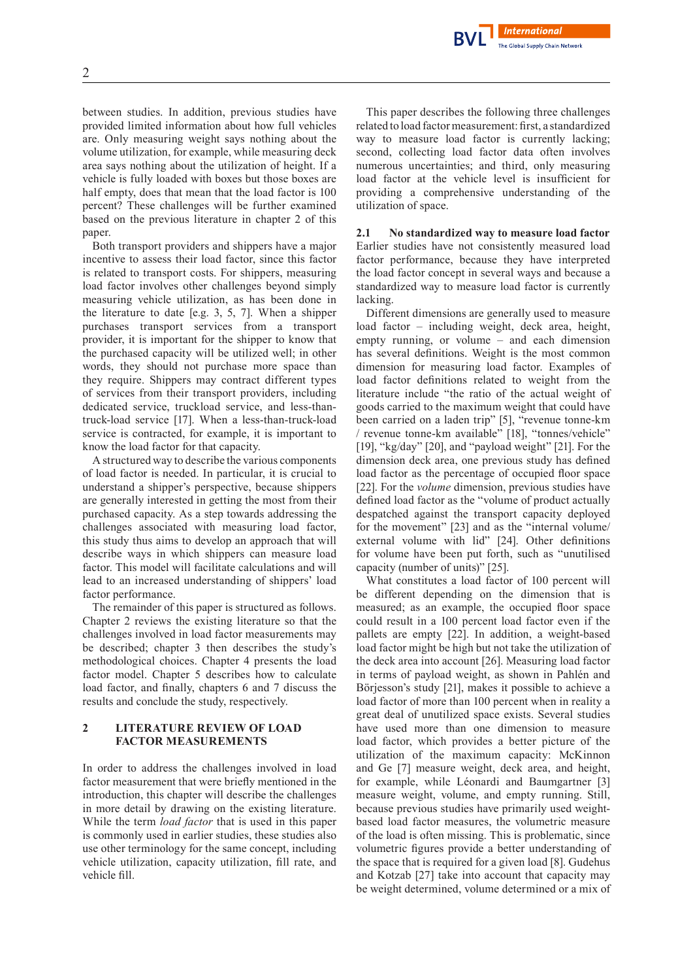2

between studies. In addition, previous studies have provided limited information about how full vehicles are. Only measuring weight says nothing about the volume utilization, for example, while measuring deck area says nothing about the utilization of height. If a vehicle is fully loaded with boxes but those boxes are half empty, does that mean that the load factor is 100 percent? These challenges will be further examined based on the previous literature in chapter 2 of this paper.

Both transport providers and shippers have a major incentive to assess their load factor, since this factor is related to transport costs. For shippers, measuring load factor involves other challenges beyond simply measuring vehicle utilization, as has been done in the literature to date [e.g. 3, 5, 7]. When a shipper purchases transport services from a transport provider, it is important for the shipper to know that the purchased capacity will be utilized well; in other words, they should not purchase more space than they require. Shippers may contract different types of services from their transport providers, including dedicated service, truckload service, and less-thantruck-load service [17]. When a less-than-truck-load service is contracted, for example, it is important to know the load factor for that capacity.

A structured way to describe the various components of load factor is needed. In particular, it is crucial to understand a shipper's perspective, because shippers are generally interested in getting the most from their purchased capacity. As a step towards addressing the challenges associated with measuring load factor, this study thus aims to develop an approach that will describe ways in which shippers can measure load factor. This model will facilitate calculations and will lead to an increased understanding of shippers' load factor performance.

The remainder of this paper is structured as follows. Chapter 2 reviews the existing literature so that the challenges involved in load factor measurements may be described; chapter 3 then describes the study's methodological choices. Chapter 4 presents the load factor model. Chapter 5 describes how to calculate load factor, and finally, chapters 6 and 7 discuss the results and conclude the study, respectively.

## **2 LITERATURE REVIEW OF LOAD FACTOR MEASUREMENTS**

In order to address the challenges involved in load factor measurement that were briefly mentioned in the introduction, this chapter will describe the challenges in more detail by drawing on the existing literature. While the term *load factor* that is used in this paper is commonly used in earlier studies, these studies also use other terminology for the same concept, including vehicle utilization, capacity utilization, fill rate, and vehicle fill.

This paper describes the following three challenges related to load factor measurement: first, a standardized way to measure load factor is currently lacking; second, collecting load factor data often involves numerous uncertainties; and third, only measuring load factor at the vehicle level is insufficient for providing a comprehensive understanding of the utilization of space.

**International** The Global Supply Chain Network

**2.1 No standardized way to measure load factor** Earlier studies have not consistently measured load factor performance, because they have interpreted the load factor concept in several ways and because a standardized way to measure load factor is currently lacking.

Different dimensions are generally used to measure load factor – including weight, deck area, height, empty running, or volume – and each dimension has several definitions. Weight is the most common dimension for measuring load factor. Examples of load factor definitions related to weight from the literature include "the ratio of the actual weight of goods carried to the maximum weight that could have been carried on a laden trip" [5], "revenue tonne-km / revenue tonne-km available" [18], "tonnes/vehicle" [19], "kg/day" [20], and "payload weight" [21]. For the dimension deck area, one previous study has defined load factor as the percentage of occupied floor space [22]. For the *volume* dimension, previous studies have defined load factor as the "volume of product actually despatched against the transport capacity deployed for the movement" [23] and as the "internal volume/ external volume with lid" [24]. Other definitions for volume have been put forth, such as "unutilised capacity (number of units)" [25].

What constitutes a load factor of 100 percent will be different depending on the dimension that is measured; as an example, the occupied floor space could result in a 100 percent load factor even if the pallets are empty [22]. In addition, a weight-based load factor might be high but not take the utilization of the deck area into account [26]. Measuring load factor in terms of payload weight, as shown in Pahlén and Börjesson's study [21], makes it possible to achieve a load factor of more than 100 percent when in reality a great deal of unutilized space exists. Several studies have used more than one dimension to measure load factor, which provides a better picture of the utilization of the maximum capacity: McKinnon and Ge [7] measure weight, deck area, and height, for example, while Léonardi and Baumgartner [3] measure weight, volume, and empty running. Still, because previous studies have primarily used weightbased load factor measures, the volumetric measure of the load is often missing. This is problematic, since volumetric figures provide a better understanding of the space that is required for a given load [8]. Gudehus and Kotzab [27] take into account that capacity may be weight determined, volume determined or a mix of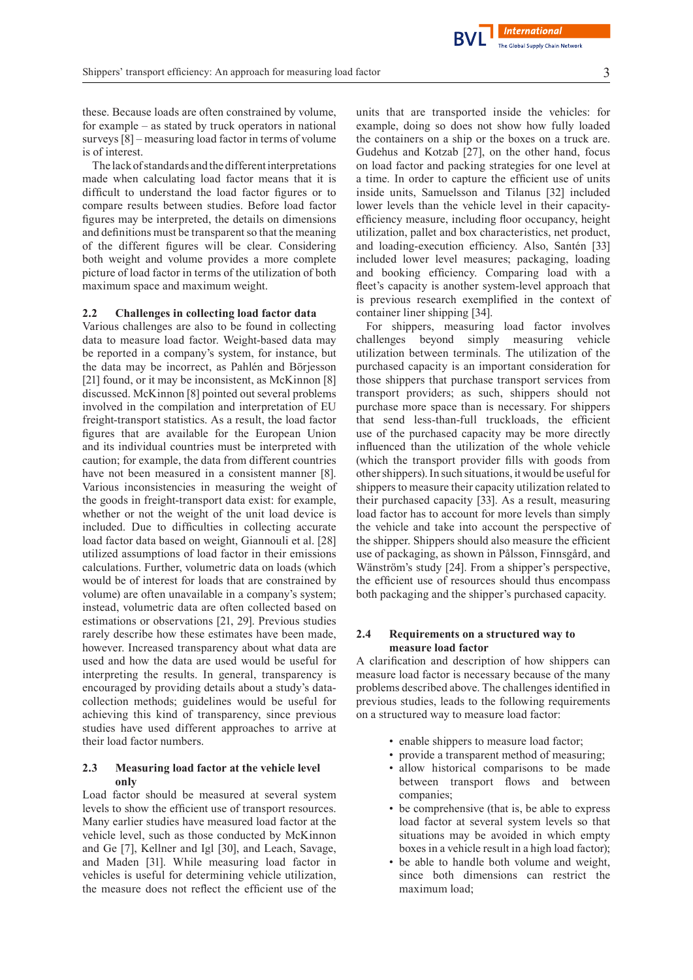these. Because loads are often constrained by volume, for example – as stated by truck operators in national surveys [8] – measuring load factor in terms of volume is of interest.

The lack of standards and the different interpretations made when calculating load factor means that it is difficult to understand the load factor figures or to compare results between studies. Before load factor figures may be interpreted, the details on dimensions and definitions must be transparent so that the meaning of the different figures will be clear. Considering both weight and volume provides a more complete picture of load factor in terms of the utilization of both maximum space and maximum weight.

#### **2.2 Challenges in collecting load factor data**

Various challenges are also to be found in collecting data to measure load factor. Weight-based data may be reported in a company's system, for instance, but the data may be incorrect, as Pahlén and Börjesson [21] found, or it may be inconsistent, as McKinnon [8] discussed. McKinnon [8] pointed out several problems involved in the compilation and interpretation of EU freight-transport statistics. As a result, the load factor figures that are available for the European Union and its individual countries must be interpreted with caution; for example, the data from different countries have not been measured in a consistent manner [8]. Various inconsistencies in measuring the weight of the goods in freight-transport data exist: for example, whether or not the weight of the unit load device is included. Due to difficulties in collecting accurate load factor data based on weight, Giannouli et al. [28] utilized assumptions of load factor in their emissions calculations. Further, volumetric data on loads (which would be of interest for loads that are constrained by volume) are often unavailable in a company's system; instead, volumetric data are often collected based on estimations or observations [21, 29]. Previous studies rarely describe how these estimates have been made, however. Increased transparency about what data are used and how the data are used would be useful for interpreting the results. In general, transparency is encouraged by providing details about a study's datacollection methods; guidelines would be useful for achieving this kind of transparency, since previous studies have used different approaches to arrive at their load factor numbers.

#### **2.3 Measuring load factor at the vehicle level only**

Load factor should be measured at several system levels to show the efficient use of transport resources. Many earlier studies have measured load factor at the vehicle level, such as those conducted by McKinnon and Ge [7], Kellner and Igl [30], and Leach, Savage, and Maden [31]. While measuring load factor in vehicles is useful for determining vehicle utilization, the measure does not reflect the efficient use of the

units that are transported inside the vehicles: for example, doing so does not show how fully loaded the containers on a ship or the boxes on a truck are. Gudehus and Kotzab [27], on the other hand, focus on load factor and packing strategies for one level at a time. In order to capture the efficient use of units inside units, Samuelsson and Tilanus [32] included lower levels than the vehicle level in their capacityefficiency measure, including floor occupancy, height utilization, pallet and box characteristics, net product, and loading-execution efficiency. Also, Santén [33] included lower level measures; packaging, loading and booking efficiency. Comparing load with a fleet's capacity is another system-level approach that is previous research exemplified in the context of container liner shipping [34].

For shippers, measuring load factor involves challenges beyond simply measuring vehicle utilization between terminals. The utilization of the purchased capacity is an important consideration for those shippers that purchase transport services from transport providers; as such, shippers should not purchase more space than is necessary. For shippers that send less-than-full truckloads, the efficient use of the purchased capacity may be more directly influenced than the utilization of the whole vehicle (which the transport provider fills with goods from other shippers). In such situations, it would be useful for shippers to measure their capacity utilization related to their purchased capacity [33]. As a result, measuring load factor has to account for more levels than simply the vehicle and take into account the perspective of the shipper. Shippers should also measure the efficient use of packaging, as shown in Pålsson, Finnsgård, and Wänström's study [24]. From a shipper's perspective, the efficient use of resources should thus encompass both packaging and the shipper's purchased capacity.

## **2.4 Requirements on a structured way to measure load factor**

A clarification and description of how shippers can measure load factor is necessary because of the many problems described above. The challengesidentified in previous studies, leads to the following requirements on a structured way to measure load factor:

- enable shippers to measure load factor;
- provide a transparent method of measuring;
- allow historical comparisons to be made between transport flows and between companies;
- be comprehensive (that is, be able to express load factor at several system levels so that situations may be avoided in which empty boxes in a vehicle result in a high load factor);
- be able to handle both volume and weight, since both dimensions can restrict the maximum load;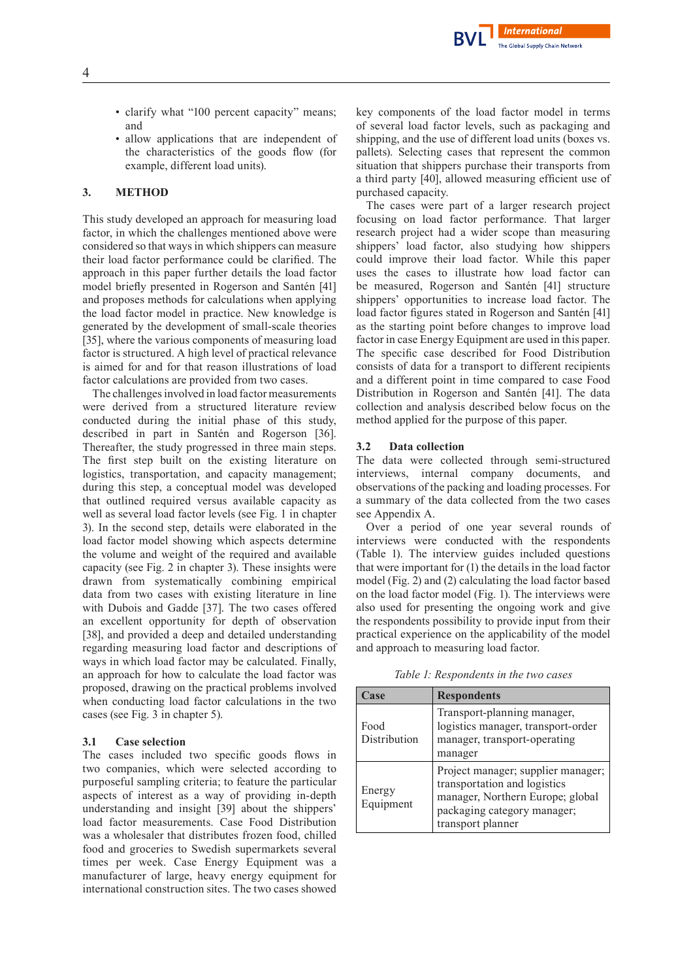- clarify what "100 percent capacity" means; and
- allow applications that are independent of the characteristics of the goods flow (for example, different load units).

## **3. METHOD**

This study developed an approach for measuring load factor, in which the challenges mentioned above were considered so that ways in which shippers can measure their load factor performance could be clarified. The approach in this paper further details the load factor model briefly presented in Rogerson and Santén [41] and proposes methods for calculations when applying the load factor model in practice. New knowledge is generated by the development of small-scale theories [35], where the various components of measuring load factor is structured. A high level of practical relevance is aimed for and for that reason illustrations of load factor calculations are provided from two cases.

The challenges involved in load factor measurements were derived from a structured literature review conducted during the initial phase of this study, described in part in Santén and Rogerson [36]. Thereafter, the study progressed in three main steps. The first step built on the existing literature on logistics, transportation, and capacity management; during this step, a conceptual model was developed that outlined required versus available capacity as well as several load factor levels (see Fig. 1 in chapter 3). In the second step, details were elaborated in the load factor model showing which aspects determine the volume and weight of the required and available capacity (see Fig. 2 in chapter 3). These insights were drawn from systematically combining empirical data from two cases with existing literature in line with Dubois and Gadde [37]. The two cases offered an excellent opportunity for depth of observation [38], and provided a deep and detailed understanding regarding measuring load factor and descriptions of ways in which load factor may be calculated. Finally, an approach for how to calculate the load factor was proposed, drawing on the practical problems involved when conducting load factor calculations in the two cases (see Fig. 3 in chapter 5).

#### **3.1 Case selection**

The cases included two specific goods flows in two companies, which were selected according to purposeful sampling criteria; to feature the particular aspects of interest as a way of providing in-depth understanding and insight [39] about the shippers' load factor measurements. Case Food Distribution was a wholesaler that distributes frozen food, chilled food and groceries to Swedish supermarkets several times per week. Case Energy Equipment was a manufacturer of large, heavy energy equipment for international construction sites. The two cases showed

key components of the load factor model in terms of several load factor levels, such as packaging and shipping, and the use of different load units (boxes vs. pallets). Selecting cases that represent the common situation that shippers purchase their transports from a third party [40], allowed measuring efficient use of purchased capacity.

**International** The Global Supply Chain Network

The cases were part of a larger research project focusing on load factor performance. That larger research project had a wider scope than measuring shippers' load factor, also studying how shippers could improve their load factor. While this paper uses the cases to illustrate how load factor can be measured, Rogerson and Santén [41] structure shippers' opportunities to increase load factor. The load factor figures stated in Rogerson and Santén [41] as the starting point before changes to improve load factor in case Energy Equipment are used in this paper. The specific case described for Food Distribution consists of data for a transport to different recipients and a different point in time compared to case Food Distribution in Rogerson and Santén [41]. The data collection and analysis described below focus on the method applied for the purpose of this paper.

#### **3.2 Data collection**

The data were collected through semi-structured interviews, internal company documents, and observations of the packing and loading processes.For a summary of the data collected from the two cases see Appendix A.

Over a period of one year several rounds of interviews were conducted with the respondents (Table 1). The interview guides included questions that were important for (1) the details in the load factor model (Fig. 2) and (2) calculating the load factor based on the load factor model (Fig. 1). The interviews were also used for presenting the ongoing work and give the respondents possibility to provide input from their practical experience on the applicability of the model and approach to measuring load factor.

*Table 1: Respondents in the two cases*

| Case                 | <b>Respondents</b>                                                                                                                                         |  |
|----------------------|------------------------------------------------------------------------------------------------------------------------------------------------------------|--|
| Food<br>Distribution | Transport-planning manager,<br>logistics manager, transport-order<br>manager, transport-operating<br>manager                                               |  |
| Energy<br>Equipment  | Project manager; supplier manager;<br>transportation and logistics<br>manager, Northern Europe; global<br>packaging category manager;<br>transport planner |  |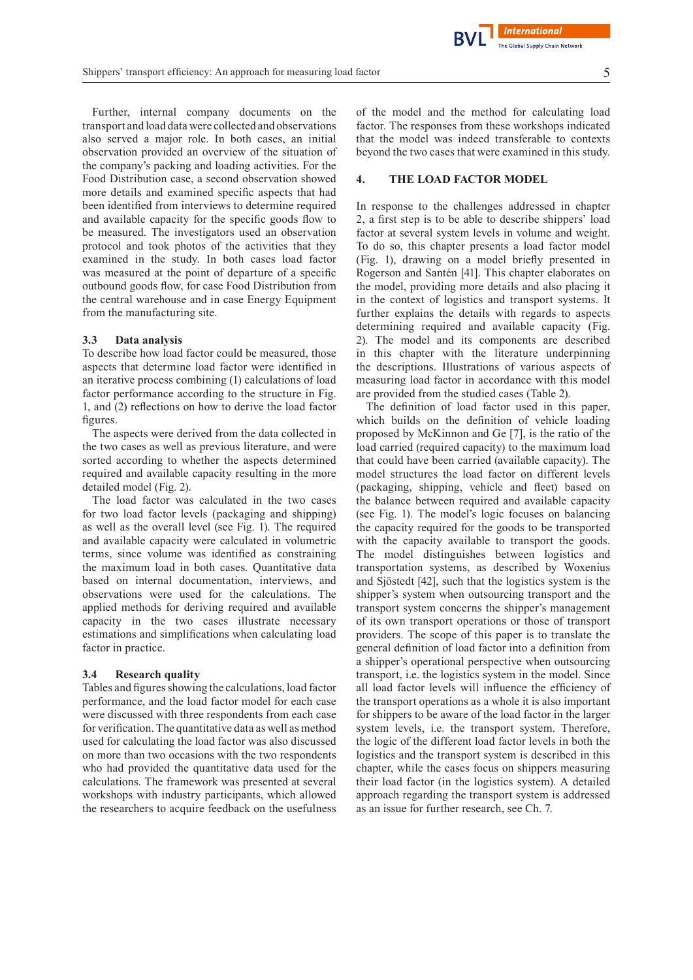**International** 

Further, internal company documents on the transport and load data were collected and observations also served a major role. In both cases, an initial observation provided an overview of the situation of the company's packing and loading activities. For the Food Distribution case, a second observation showed more details and examined specific aspects that had been identified from interviews to determine required and available capacity for the specific goods flow to be measured. The investigators used an observation protocol and took photos of the activities that they examined in the study. In both cases load factor was measured at the point of departure of a specific outbound goods flow, for case Food Distribution from the central warehouse and in case Energy Equipment from the manufacturing site.

#### **3.3 Data analysis**

To describe how load factor could be measured, those aspects that determine load factor were identified in an iterative process combining (1) calculations of load factor performance according to the structure in Fig. 1, and (2) reflections on how to derive the load factor figures.

The aspects were derived from the data collected in the two cases as well as previous literature, and were sorted according to whether the aspects determined required and available capacity resulting in the more detailed model (Fig. 2).

The load factor was calculated in the two cases for two load factor levels (packaging and shipping) as well as the overall level (see Fig. 1). The required and available capacity were calculated in volumetric terms, since volume was identified as constraining the maximum load in both cases. Quantitative data based on internal documentation, interviews, and observations were used for the calculations. The applied methods for deriving required and available capacity in the two cases illustrate necessary estimations and simplifications when calculating load factor in practice.

#### **3.4 Research quality**

Tables and figures showing the calculations, load factor performance, and the load factor model for each case were discussed with three respondents from each case for verification. The quantitative data as well as method used for calculating the load factor was also discussed on more than two occasions with the two respondents who had provided the quantitative data used for the calculations. The framework was presented at several workshops with industry participants, which allowed the researchers to acquire feedback on the usefulness

of the model and the method for calculating load factor. The responses from these workshops indicated that the model was indeed transferable to contexts beyond the two cases that were examined in this study.

#### **4. THE LOAD FACTOR MODEL**

In response to the challenges addressed in chapter 2, a first step is to be able to describe shippers' load factor at several system levels in volume and weight. To do so, this chapter presents a load factor model (Fig. 1), drawing on a model briefly presented in Rogerson and Santén [41]. This chapter elaborates on the model, providing more details and also placing it in the context of logistics and transport systems. It further explains the details with regards to aspects determining required and available capacity (Fig. 2). The model and its components are described in this chapter with the literature underpinning the descriptions. Illustrations of various aspects of measuring load factor in accordance with this model are provided from the studied cases (Table 2).

The definition of load factor used in this paper, which builds on the definition of vehicle loading proposed by McKinnon and Ge [7], is the ratio of the load carried (required capacity) to the maximum load that could have been carried (available capacity). The model structures the load factor on different levels (packaging, shipping, vehicle and fleet) based on the balance between required and available capacity (see Fig. 1). The model's logic focuses on balancing the capacity required for the goods to be transported with the capacity available to transport the goods. The model distinguishes between logistics and transportation systems, as described by Woxenius and Sjöstedt [42], such that the logistics system is the shipper's system when outsourcing transport and the transport system concerns the shipper's management of its own transport operations or those of transport providers. The scope of this paper is to translate the general definition of load factor into a definition from a shipper's operational perspective when outsourcing transport, i.e. the logistics system in the model. Since all load factor levels will influence the efficiency of the transport operations as a whole it is also important for shippers to be aware of the load factor in the larger system levels, i.e. the transport system. Therefore, the logic of the different load factor levels in both the logistics and the transport system is described in this chapter, while the cases focus on shippers measuring their load factor (in the logistics system). A detailed approach regarding the transport system is addressed as an issue for further research, see Ch. 7.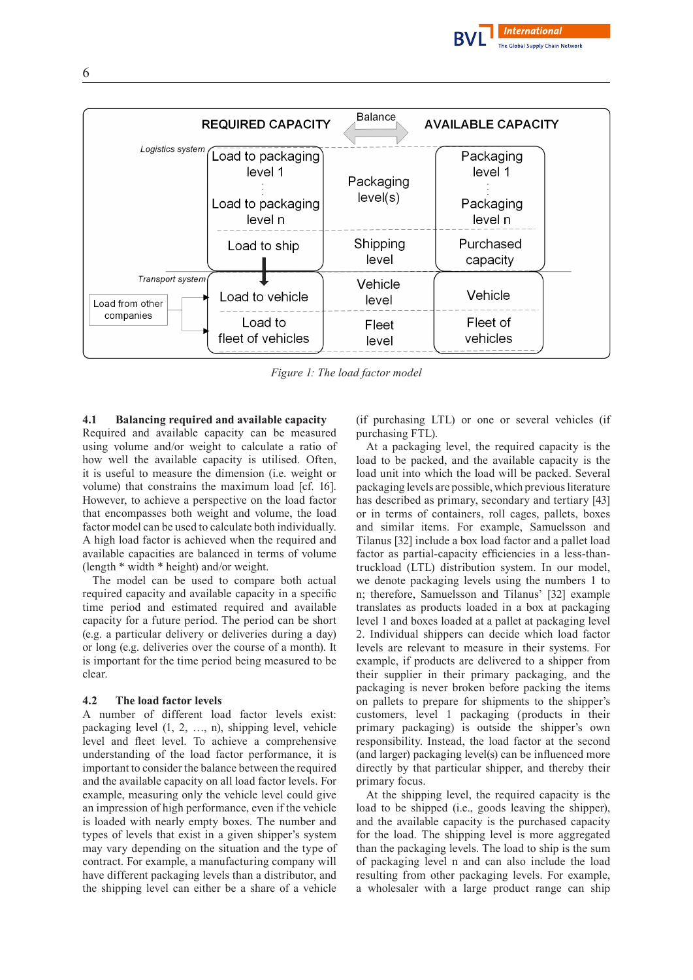



*Figure 1: The load factor model*

# **4.1 Balancing required and available capacity**

Required and available capacity can be measured using volume and/or weight to calculate a ratio of how well the available capacity is utilised. Often, it is useful to measure the dimension (i.e. weight or volume) that constrains the maximum load [cf. 16]. However, to achieve a perspective on the load factor that encompasses both weight and volume, the load factor model can be used to calculate both individually. A high load factor is achieved when the required and available capacities are balanced in terms of volume (length \* width \* height) and/or weight.

The model can be used to compare both actual required capacity and available capacity in a specific time period and estimated required and available capacity for a future period. The period can be short (e.g. a particular delivery or deliveries during a day) or long (e.g. deliveries over the course of a month). It is important for the time period being measured to be clear.

#### **4.2 The load factor levels**

A number of different load factor levels exist: packaging level (1, 2, …, n), shipping level, vehicle level and fleet level. To achieve a comprehensive understanding of the load factor performance, it is important to consider the balance between the required and the available capacity on all load factor levels. For example, measuring only the vehicle level could give an impression of high performance, even if the vehicle is loaded with nearly empty boxes. The number and types of levels that exist in a given shipper's system may vary depending on the situation and the type of contract. For example, a manufacturing company will have different packaging levels than a distributor, and the shipping level can either be a share of a vehicle

(if purchasing LTL) or one or several vehicles (if purchasing FTL).

At a packaging level, the required capacity is the load to be packed, and the available capacity is the load unit into which the load will be packed. Several packaging levels are possible, which previousliterature has described as primary, secondary and tertiary [43] or in terms of containers, roll cages, pallets, boxes and similar items. For example, Samuelsson and Tilanus [32] include a box load factor and a pallet load factor as partial-capacity efficiencies in a less-thantruckload (LTL) distribution system. In our model, we denote packaging levels using the numbers 1 to n; therefore, Samuelsson and Tilanus' [32] example translates as products loaded in a box at packaging level 1 and boxes loaded at a pallet at packaging level 2. Individual shippers can decide which load factor levels are relevant to measure in their systems. For example, if products are delivered to a shipper from their supplier in their primary packaging, and the packaging is never broken before packing the items on pallets to prepare for shipments to the shipper's customers, level 1 packaging (products in their primary packaging) is outside the shipper's own responsibility. Instead, the load factor at the second (and larger) packaging level(s) can be influenced more directly by that particular shipper, and thereby their primary focus.

At the shipping level, the required capacity is the load to be shipped (i.e., goods leaving the shipper), and the available capacity is the purchased capacity for the load. The shipping level is more aggregated than the packaging levels. The load to ship is the sum of packaging level n and can also include the load resulting from other packaging levels. For example, a wholesaler with a large product range can ship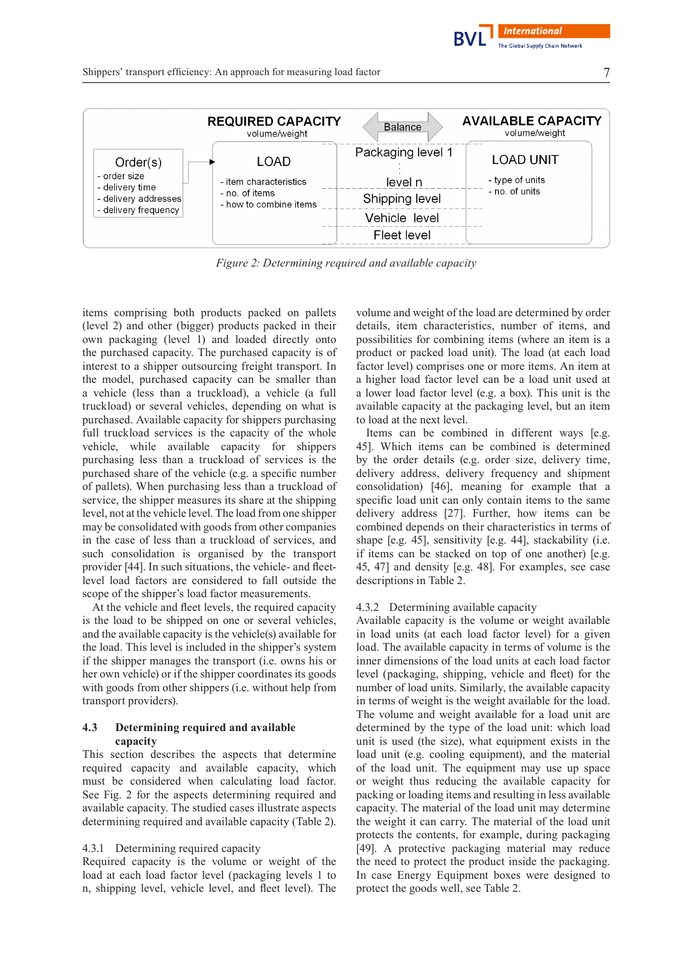**International** The Global Supply Chain Network



*Figure 2: Determining required and available capacity*

items comprising both products packed on pallets (level 2) and other (bigger) products packed in their own packaging (level 1) and loaded directly onto the purchased capacity. The purchased capacity is of interest to a shipper outsourcing freight transport. In the model, purchased capacity can be smaller than a vehicle (less than a truckload), a vehicle (a full truckload) or several vehicles, depending on what is purchased. Available capacity for shippers purchasing full truckload services is the capacity of the whole vehicle, while available capacity for shippers purchasing less than a truckload of services is the purchased share of the vehicle (e.g. a specific number of pallets). When purchasing less than a truckload of service, the shipper measures its share at the shipping level, not at the vehicle level. The load from one shipper may be consolidated with goods from other companies in the case of less than a truckload of services, and such consolidation is organised by the transport provider [44]. In such situations, the vehicle- and fleetlevel load factors are considered to fall outside the scope of the shipper's load factor measurements.

At the vehicle and fleet levels, the required capacity is the load to be shipped on one or several vehicles, and the available capacity is the vehicle(s) available for the load. This level is included in the shipper's system if the shipper manages the transport (i.e. owns his or her own vehicle) or if the shipper coordinates its goods with goods from other shippers (i.e. without help from transport providers).

## **4.3 Determining required and available capacity**

This section describes the aspects that determine required capacity and available capacity, which must be considered when calculating load factor. See Fig. 2 for the aspects determining required and available capacity. The studied cases illustrate aspects determining required and available capacity (Table 2).

#### 4.3.1 Determining required capacity

Required capacity is the volume or weight of the load at each load factor level (packaging levels 1 to n, shipping level, vehicle level, and fleet level). The

volume and weight of the load are determined by order details, item characteristics, number of items, and possibilities for combining items (where an item is a product or packed load unit). The load (at each load factor level) comprises one or more items. An item at a higher load factor level can be a load unit used at a lower load factor level (e.g. a box). This unit is the available capacity at the packaging level, but an item to load at the next level.

Items can be combined in different ways [e.g. 45]. Which items can be combined is determined by the order details (e.g. order size, delivery time, delivery address, delivery frequency and shipment consolidation) [46], meaning for example that a specific load unit can only contain items to the same delivery address [27]. Further, how items can be combined depends on their characteristics in terms of shape [e.g. 45], sensitivity [e.g. 44], stackability (i.e. if items can be stacked on top of one another) [e.g. 45, 47] and density [e.g. 48]. For examples, see case descriptions in Table 2.

#### 4.3.2 Determining available capacity

Available capacity is the volume or weight available in load units (at each load factor level) for a given load. The available capacity in terms of volume is the inner dimensions of the load units at each load factor level (packaging, shipping, vehicle and fleet) for the number of load units. Similarly, the available capacity in terms of weight is the weight available for the load. The volume and weight available for a load unit are determined by the type of the load unit: which load unit is used (the size), what equipment exists in the load unit (e.g. cooling equipment), and the material of the load unit. The equipment may use up space or weight thus reducing the available capacity for packing or loading items and resulting in less available capacity. The material of the load unit may determine the weight it can carry. The material of the load unit protects the contents, for example, during packaging [49]. A protective packaging material may reduce the need to protect the product inside the packaging. In case Energy Equipment boxes were designed to protect the goods well, see Table 2.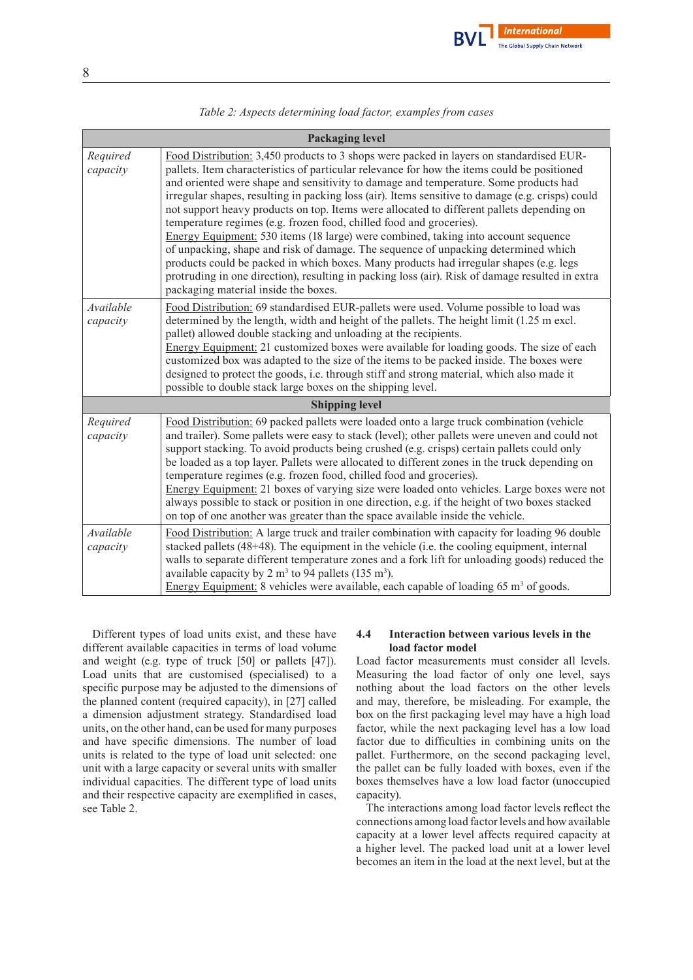

| Table 2: Aspects determining load factor, examples from cases |  |  |  |  |  |
|---------------------------------------------------------------|--|--|--|--|--|
|---------------------------------------------------------------|--|--|--|--|--|

| <b>Packaging level</b> |                                                                                                                                                                                                                                                                                                                                                                                                                                                                                                                                                                                                                                                                                                                                                                                                                                                                                                                                                                         |  |  |
|------------------------|-------------------------------------------------------------------------------------------------------------------------------------------------------------------------------------------------------------------------------------------------------------------------------------------------------------------------------------------------------------------------------------------------------------------------------------------------------------------------------------------------------------------------------------------------------------------------------------------------------------------------------------------------------------------------------------------------------------------------------------------------------------------------------------------------------------------------------------------------------------------------------------------------------------------------------------------------------------------------|--|--|
| Required<br>capacity   | Food Distribution: 3,450 products to 3 shops were packed in layers on standardised EUR-<br>pallets. Item characteristics of particular relevance for how the items could be positioned<br>and oriented were shape and sensitivity to damage and temperature. Some products had<br>irregular shapes, resulting in packing loss (air). Items sensitive to damage (e.g. crisps) could<br>not support heavy products on top. Items were allocated to different pallets depending on<br>temperature regimes (e.g. frozen food, chilled food and groceries).<br>Energy Equipment: 530 items (18 large) were combined, taking into account sequence<br>of unpacking, shape and risk of damage. The sequence of unpacking determined which<br>products could be packed in which boxes. Many products had irregular shapes (e.g. legs<br>protruding in one direction), resulting in packing loss (air). Risk of damage resulted in extra<br>packaging material inside the boxes. |  |  |
| Available<br>capacity  | Food Distribution: 69 standardised EUR-pallets were used. Volume possible to load was<br>determined by the length, width and height of the pallets. The height limit (1.25 m excl.<br>pallet) allowed double stacking and unloading at the recipients.<br>Energy Equipment: 21 customized boxes were available for loading goods. The size of each<br>customized box was adapted to the size of the items to be packed inside. The boxes were<br>designed to protect the goods, i.e. through stiff and strong material, which also made it<br>possible to double stack large boxes on the shipping level.                                                                                                                                                                                                                                                                                                                                                               |  |  |
| <b>Shipping level</b>  |                                                                                                                                                                                                                                                                                                                                                                                                                                                                                                                                                                                                                                                                                                                                                                                                                                                                                                                                                                         |  |  |
| Required<br>capacity   | Food Distribution: 69 packed pallets were loaded onto a large truck combination (vehicle<br>and trailer). Some pallets were easy to stack (level); other pallets were uneven and could not<br>support stacking. To avoid products being crushed (e.g. crisps) certain pallets could only<br>be loaded as a top layer. Pallets were allocated to different zones in the truck depending on<br>temperature regimes (e.g. frozen food, chilled food and groceries).<br>Energy Equipment: 21 boxes of varying size were loaded onto vehicles. Large boxes were not<br>always possible to stack or position in one direction, e.g. if the height of two boxes stacked<br>on top of one another was greater than the space available inside the vehicle.                                                                                                                                                                                                                      |  |  |
| Available<br>capacity  | Food Distribution: A large truck and trailer combination with capacity for loading 96 double<br>stacked pallets $(48+48)$ . The equipment in the vehicle (i.e. the cooling equipment, internal<br>walls to separate different temperature zones and a fork lift for unloading goods) reduced the<br>available capacity by 2 m <sup>3</sup> to 94 pallets (135 m <sup>3</sup> ).<br>Energy Equipment: 8 vehicles were available, each capable of loading $65 \text{ m}^3$ of goods.                                                                                                                                                                                                                                                                                                                                                                                                                                                                                      |  |  |

Different types of load units exist, and these have different available capacities in terms of load volume and weight (e.g. type of truck [50] or pallets [47]). Load units that are customised (specialised) to a specific purpose may be adjusted to the dimensions of the planned content (required capacity), in [27] called a dimension adjustment strategy. Standardised load units, on the other hand, can be used for many purposes and have specific dimensions. The number of load units is related to the type of load unit selected: one unit with a large capacity or several units with smaller individual capacities. The different type of load units and their respective capacity are exemplified in cases, see Table 2.

## **4.4 Interaction between various levels in the load factor model**

Load factor measurements must consider all levels. Measuring the load factor of only one level, says nothing about the load factors on the other levels and may, therefore, be misleading. For example, the box on the first packaging level may have a high load factor, while the next packaging level has a low load factor due to difficulties in combining units on the pallet. Furthermore, on the second packaging level, the pallet can be fully loaded with boxes, even if the boxes themselves have a low load factor (unoccupied capacity).

The interactions among load factor levels reflect the connections among load factor levels and how available capacity at a lower level affects required capacity at a higher level. The packed load unit at a lower level becomes an item in the load at the next level, but at the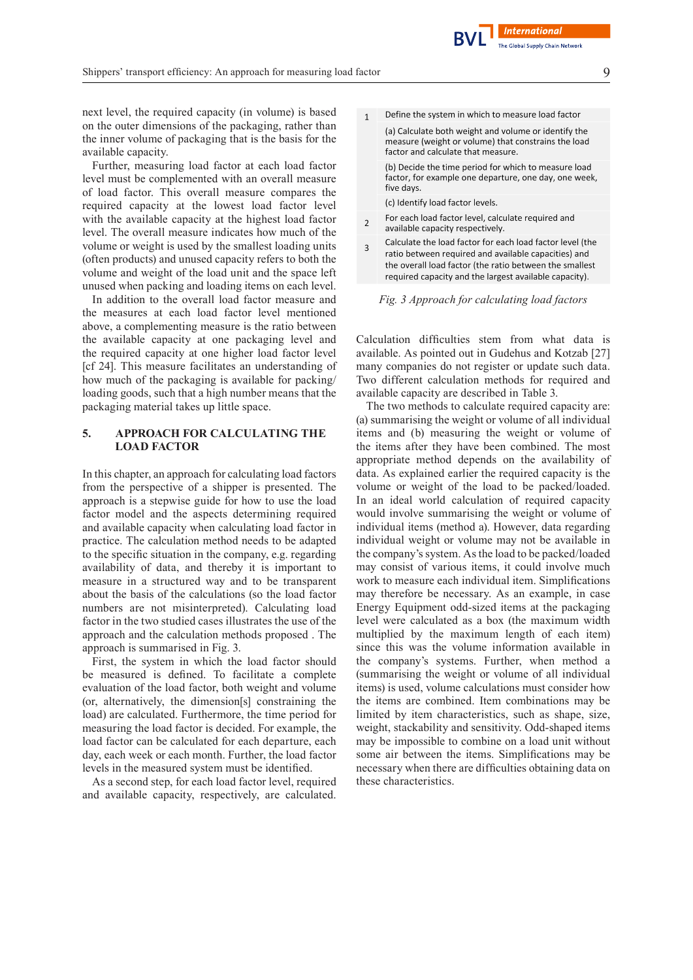next level, the required capacity (in volume) is based on the outer dimensions of the packaging, rather than the inner volume of packaging that is the basis for the available capacity.

Further, measuring load factor at each load factor level must be complemented with an overall measure of load factor. This overall measure compares the required capacity at the lowest load factor level with the available capacity at the highest load factor level. The overall measure indicates how much of the volume or weight is used by the smallest loading units (often products) and unused capacity refers to both the volume and weight of the load unit and the space left unused when packing and loading items on each level.

In addition to the overall load factor measure and the measures at each load factor level mentioned above, a complementing measure is the ratio between the available capacity at one packaging level and the required capacity at one higher load factor level [cf 24]. This measure facilitates an understanding of how much of the packaging is available for packing/ loading goods, such that a high number means that the packaging material takes up little space.

## **5. APPROACH FOR CALCULATING THE LOAD FACTOR**

In this chapter, an approach for calculating load factors from the perspective of a shipper is presented. The approach is a stepwise guide for how to use the load factor model and the aspects determining required and available capacity when calculating load factor in practice. The calculation method needs to be adapted to the specific situation in the company, e.g. regarding availability of data, and thereby it is important to measure in a structured way and to be transparent about the basis of the calculations (so the load factor numbers are not misinterpreted). Calculating load factor in the two studied cases illustrates the use of the approach and the calculation methods proposed . The approach is summarised in Fig. 3.

First, the system in which the load factor should be measured is defined. To facilitate a complete evaluation of the load factor, both weight and volume (or, alternatively, the dimension[s] constraining the load) are calculated. Furthermore, the time period for measuring the load factor is decided. For example, the load factor can be calculated for each departure, each day, each week or each month. Further, the load factor levels in the measured system must be identified.

As a second step, for each load factor level, required and available capacity, respectively, are calculated.

Define the system in which to measure load factor  $\mathbf{1}$ 

(a) Calculate both weight and volume or identify the measure (weight or volume) that constrains the load factor and calculate that measure (b) Decide the time period for which to measure load factor, for example one departure, one day, one week, five days.

(c) Identify load factor levels.

- For each load factor level, calculate required and  $\overline{\phantom{a}}$ available capacity respectively.
- Calculate the load factor for each load factor level (the  $\overline{3}$ ratio between required and available capacities) and the overall load factor (the ratio between the smallest required capacity and the largest available capacity).

*Fig. 3 Approach for calculating load factors*

Calculation difficulties stem from what data is available. As pointed out in Gudehus and Kotzab [27] many companies do not register or update such data. Two different calculation methods for required and available capacity are described in Table 3.

The two methods to calculate required capacity are: (a) summarising the weight or volume of all individual items and (b) measuring the weight or volume of the items after they have been combined. The most appropriate method depends on the availability of data. As explained earlier the required capacity is the volume or weight of the load to be packed/loaded. In an ideal world calculation of required capacity would involve summarising the weight or volume of individual items (method a). However, data regarding individual weight or volume may not be available in the company's system. As the load to be packed/loaded may consist of various items, it could involve much work to measure each individual item. Simplifications may therefore be necessary. As an example, in case Energy Equipment odd-sized items at the packaging level were calculated as a box (the maximum width multiplied by the maximum length of each item) since this was the volume information available in the company's systems. Further, when method a (summarising the weight or volume of all individual items) is used, volume calculations must consider how the items are combined. Item combinations may be limited by item characteristics, such as shape, size, weight, stackability and sensitivity. Odd-shaped items may be impossible to combine on a load unit without some air between the items. Simplifications may be necessary when there are difficulties obtaining data on these characteristics.

**International**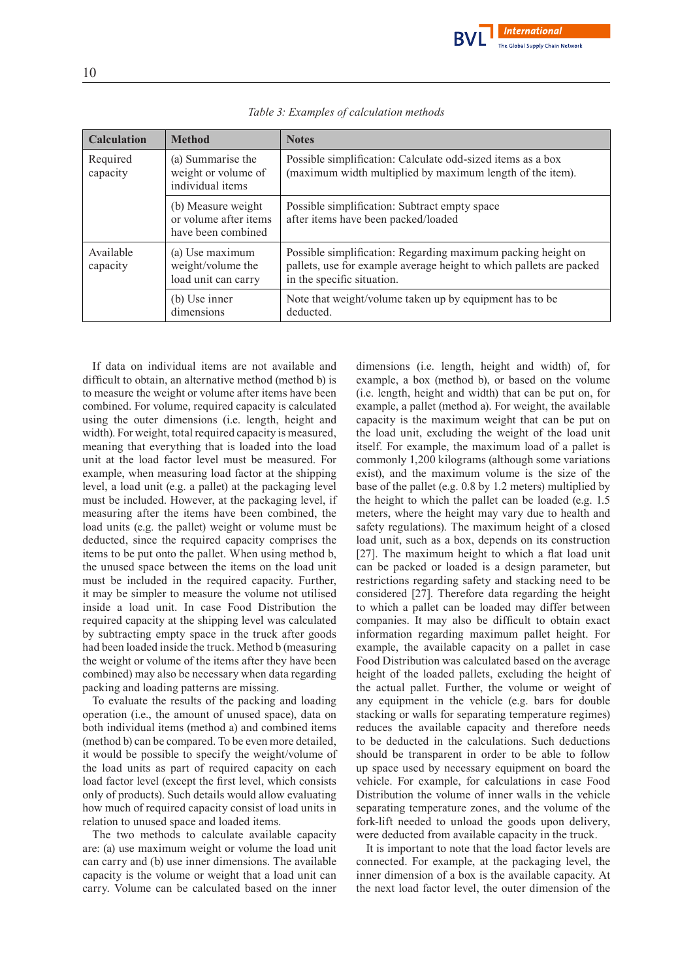

| <b>Calculation</b>    | <b>Method</b>                                                     | <b>Notes</b>                                                                                                                                                      |
|-----------------------|-------------------------------------------------------------------|-------------------------------------------------------------------------------------------------------------------------------------------------------------------|
| Required<br>capacity  | (a) Summarise the<br>weight or volume of<br>individual items      | Possible simplification: Calculate odd-sized items as a box<br>(maximum width multiplied by maximum length of the item).                                          |
|                       | (b) Measure weight<br>or volume after items<br>have been combined | Possible simplification: Subtract empty space<br>after items have been packed/loaded                                                                              |
| Available<br>capacity | (a) Use maximum<br>weight/volume the<br>load unit can carry       | Possible simplification: Regarding maximum packing height on<br>pallets, use for example average height to which pallets are packed<br>in the specific situation. |
|                       | (b) Use inner<br>dimensions                                       | Note that weight/volume taken up by equipment has to be<br>deducted.                                                                                              |

*Table 3: Examples of calculation methods*

If data on individual items are not available and difficult to obtain, an alternative method (method b) is to measure the weight or volume after items have been combined. For volume, required capacity is calculated using the outer dimensions (i.e. length, height and width). For weight, total required capacity is measured, meaning that everything that is loaded into the load unit at the load factor level must be measured. For example, when measuring load factor at the shipping level, a load unit (e.g. a pallet) at the packaging level must be included. However, at the packaging level, if measuring after the items have been combined, the load units (e.g. the pallet) weight or volume must be deducted, since the required capacity comprises the items to be put onto the pallet. When using method b, the unused space between the items on the load unit must be included in the required capacity. Further, it may be simpler to measure the volume not utilised inside a load unit. In case Food Distribution the required capacity at the shipping level was calculated by subtracting empty space in the truck after goods had been loaded inside the truck. Method b (measuring the weight or volume of the items after they have been combined) may also be necessary when data regarding packing and loading patterns are missing.

To evaluate the results of the packing and loading operation (i.e., the amount of unused space), data on both individual items (method a) and combined items (method b) can be compared. To be even more detailed, it would be possible to specify the weight/volume of the load units as part of required capacity on each load factor level (except the first level, which consists only of products). Such details would allow evaluating how much of required capacity consist of load units in relation to unused space and loaded items.

The two methods to calculate available capacity are: (a) use maximum weight or volume the load unit can carry and (b) use inner dimensions. The available capacity is the volume or weight that a load unit can carry. Volume can be calculated based on the inner

dimensions (i.e. length, height and width) of, for example, a box (method b), or based on the volume (i.e. length, height and width) that can be put on, for example, a pallet (method a). For weight, the available capacity is the maximum weight that can be put on the load unit, excluding the weight of the load unit itself. For example, the maximum load of a pallet is commonly 1,200 kilograms (although some variations exist), and the maximum volume is the size of the base of the pallet (e.g. 0.8 by 1.2 meters) multiplied by the height to which the pallet can be loaded (e.g. 1.5 meters, where the height may vary due to health and safety regulations). The maximum height of a closed load unit, such as a box, depends on its construction [27]. The maximum height to which a flat load unit can be packed or loaded is a design parameter, but restrictions regarding safety and stacking need to be considered [27]. Therefore data regarding the height to which a pallet can be loaded may differ between companies. It may also be difficult to obtain exact information regarding maximum pallet height. For example, the available capacity on a pallet in case Food Distribution was calculated based on the average height of the loaded pallets, excluding the height of the actual pallet. Further, the volume or weight of any equipment in the vehicle (e.g. bars for double stacking or walls for separating temperature regimes) reduces the available capacity and therefore needs to be deducted in the calculations. Such deductions should be transparent in order to be able to follow up space used by necessary equipment on board the vehicle. For example, for calculations in case Food Distribution the volume of inner walls in the vehicle separating temperature zones, and the volume of the fork-lift needed to unload the goods upon delivery, were deducted from available capacity in the truck.

It is important to note that the load factor levels are connected. For example, at the packaging level, the inner dimension of a box is the available capacity. At the next load factor level, the outer dimension of the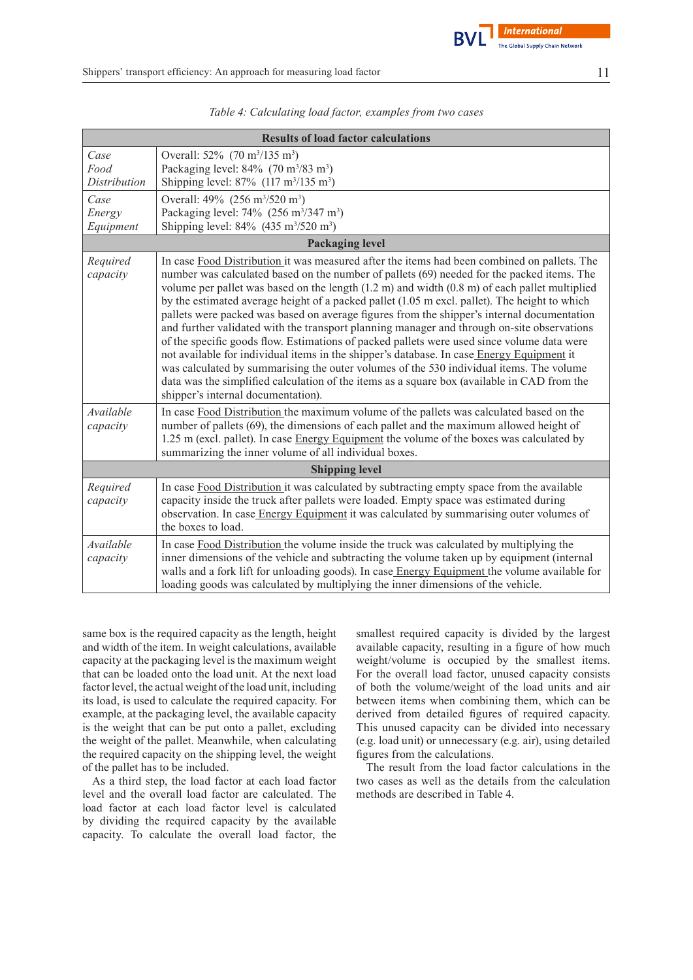

| <b>Results of load factor calculations</b> |                                                                                                                                                                                                                                                                                                                                                                                                                                                                                                                                                                                                                                                                                                                                                                                                                                                                                                                                                                                                                                        |  |  |
|--------------------------------------------|----------------------------------------------------------------------------------------------------------------------------------------------------------------------------------------------------------------------------------------------------------------------------------------------------------------------------------------------------------------------------------------------------------------------------------------------------------------------------------------------------------------------------------------------------------------------------------------------------------------------------------------------------------------------------------------------------------------------------------------------------------------------------------------------------------------------------------------------------------------------------------------------------------------------------------------------------------------------------------------------------------------------------------------|--|--|
| Case<br>Food<br><b>Distribution</b>        | Overall: 52% (70 m <sup>3</sup> /135 m <sup>3</sup> )<br>Packaging level: $84\%$ (70 m <sup>3</sup> /83 m <sup>3</sup> )<br>Shipping level: $87\%$ (117 m <sup>3</sup> /135 m <sup>3</sup> )                                                                                                                                                                                                                                                                                                                                                                                                                                                                                                                                                                                                                                                                                                                                                                                                                                           |  |  |
| Case<br>Energy<br>Equipment                | Overall: 49% (256 m <sup>3</sup> /520 m <sup>3</sup> )<br>Packaging level: $74\%$ (256 m <sup>3</sup> /347 m <sup>3</sup> )<br>Shipping level: 84% (435 m <sup>3</sup> /520 m <sup>3</sup> )                                                                                                                                                                                                                                                                                                                                                                                                                                                                                                                                                                                                                                                                                                                                                                                                                                           |  |  |
|                                            | <b>Packaging level</b>                                                                                                                                                                                                                                                                                                                                                                                                                                                                                                                                                                                                                                                                                                                                                                                                                                                                                                                                                                                                                 |  |  |
| Required<br>capacity                       | In case Food Distribution it was measured after the items had been combined on pallets. The<br>number was calculated based on the number of pallets (69) needed for the packed items. The<br>volume per pallet was based on the length $(1.2 \text{ m})$ and width $(0.8 \text{ m})$ of each pallet multiplied<br>by the estimated average height of a packed pallet (1.05 m excl. pallet). The height to which<br>pallets were packed was based on average figures from the shipper's internal documentation<br>and further validated with the transport planning manager and through on-site observations<br>of the specific goods flow. Estimations of packed pallets were used since volume data were<br>not available for individual items in the shipper's database. In case Energy Equipment it<br>was calculated by summarising the outer volumes of the 530 individual items. The volume<br>data was the simplified calculation of the items as a square box (available in CAD from the<br>shipper's internal documentation). |  |  |
| Available<br>capacity                      | In case Food Distribution the maximum volume of the pallets was calculated based on the<br>number of pallets (69), the dimensions of each pallet and the maximum allowed height of<br>1.25 m (excl. pallet). In case Energy Equipment the volume of the boxes was calculated by<br>summarizing the inner volume of all individual boxes.                                                                                                                                                                                                                                                                                                                                                                                                                                                                                                                                                                                                                                                                                               |  |  |
| <b>Shipping level</b>                      |                                                                                                                                                                                                                                                                                                                                                                                                                                                                                                                                                                                                                                                                                                                                                                                                                                                                                                                                                                                                                                        |  |  |
| Required<br>capacity                       | In case Food Distribution it was calculated by subtracting empty space from the available<br>capacity inside the truck after pallets were loaded. Empty space was estimated during<br>observation. In case Energy Equipment it was calculated by summarising outer volumes of<br>the boxes to load.                                                                                                                                                                                                                                                                                                                                                                                                                                                                                                                                                                                                                                                                                                                                    |  |  |
| Available<br>capacity                      | In case Food Distribution the volume inside the truck was calculated by multiplying the<br>inner dimensions of the vehicle and subtracting the volume taken up by equipment (internal<br>walls and a fork lift for unloading goods). In case Energy Equipment the volume available for<br>loading goods was calculated by multiplying the inner dimensions of the vehicle.                                                                                                                                                                                                                                                                                                                                                                                                                                                                                                                                                                                                                                                             |  |  |

|  | Table 4: Calculating load factor, examples from two cases |  |
|--|-----------------------------------------------------------|--|
|  |                                                           |  |

same box is the required capacity as the length, height and width of the item. In weight calculations, available capacity at the packaging level is the maximum weight that can be loaded onto the load unit. At the next load factor level, the actual weight of the load unit, including its load, is used to calculate the required capacity. For example, at the packaging level, the available capacity is the weight that can be put onto a pallet, excluding the weight of the pallet. Meanwhile, when calculating the required capacity on the shipping level, the weight of the pallet has to be included.

As a third step, the load factor at each load factor level and the overall load factor are calculated. The load factor at each load factor level is calculated by dividing the required capacity by the available capacity. To calculate the overall load factor, the smallest required capacity is divided by the largest available capacity, resulting in a figure of how much weight/volume is occupied by the smallest items. For the overall load factor, unused capacity consists of both the volume/weight of the load units and air between items when combining them, which can be derived from detailed figures of required capacity. This unused capacity can be divided into necessary (e.g. load unit) or unnecessary (e.g. air), using detailed figures from the calculations.

The result from the load factor calculations in the two cases as well as the details from the calculation methods are described in Table 4.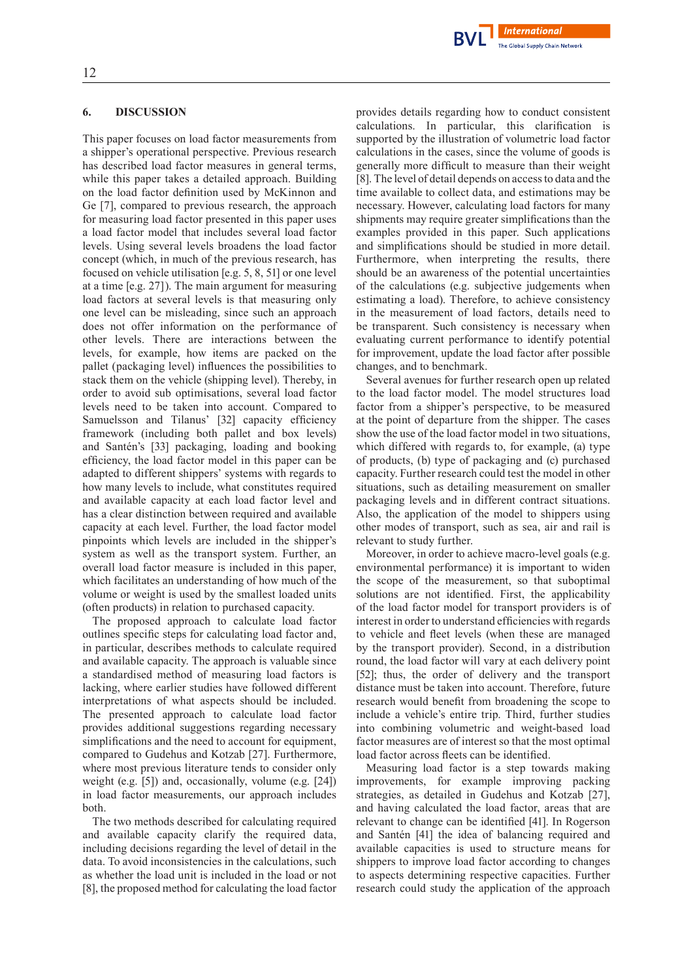

## **6. DISCUSSION**

This paper focuses on load factor measurements from a shipper's operational perspective. Previous research has described load factor measures in general terms, while this paper takes a detailed approach. Building on the load factor definition used by McKinnon and Ge [7], compared to previous research, the approach for measuring load factor presented in this paper uses a load factor model that includes several load factor levels. Using several levels broadens the load factor concept (which, in much of the previous research, has focused on vehicle utilisation [e.g. 5, 8, 51] or one level at a time [e.g. 27]). The main argument for measuring load factors at several levels is that measuring only one level can be misleading, since such an approach does not offer information on the performance of other levels. There are interactions between the levels, for example, how items are packed on the pallet (packaging level) influences the possibilities to stack them on the vehicle (shipping level). Thereby, in order to avoid sub optimisations, several load factor levels need to be taken into account. Compared to Samuelsson and Tilanus' [32] capacity efficiency framework (including both pallet and box levels) and Santén's [33] packaging, loading and booking efficiency, the load factor model in this paper can be adapted to different shippers' systems with regards to how many levels to include, what constitutes required and available capacity at each load factor level and has a clear distinction between required and available capacity at each level. Further, the load factor model pinpoints which levels are included in the shipper's system as well as the transport system. Further, an overall load factor measure is included in this paper, which facilitates an understanding of how much of the volume or weight is used by the smallest loaded units (often products) in relation to purchased capacity.

The proposed approach to calculate load factor outlines specific steps for calculating load factor and, in particular, describes methods to calculate required and available capacity. The approach is valuable since a standardised method of measuring load factors is lacking, where earlier studies have followed different interpretations of what aspects should be included. The presented approach to calculate load factor provides additional suggestions regarding necessary simplifications and the need to account for equipment, compared to Gudehus and Kotzab [27]. Furthermore, where most previous literature tends to consider only weight (e.g. [5]) and, occasionally, volume (e.g. [24]) in load factor measurements, our approach includes both.

The two methods described for calculating required and available capacity clarify the required data, including decisions regarding the level of detail in the data. To avoid inconsistencies in the calculations, such as whether the load unit is included in the load or not [8], the proposed method for calculating the load factor provides details regarding how to conduct consistent calculations. In particular, this clarification is supported by the illustration of volumetric load factor calculations in the cases, since the volume of goods is generally more difficult to measure than their weight [8]. The level of detail depends on accessto data and the time available to collect data, and estimations may be necessary. However, calculating load factors for many shipments may require greater simplifications than the examples provided in this paper. Such applications and simplifications should be studied in more detail. Furthermore, when interpreting the results, there should be an awareness of the potential uncertainties of the calculations (e.g. subjective judgements when estimating a load). Therefore, to achieve consistency in the measurement of load factors, details need to be transparent. Such consistency is necessary when evaluating current performance to identify potential for improvement, update the load factor after possible changes, and to benchmark.

Several avenues for further research open up related to the load factor model. The model structures load factor from a shipper's perspective, to be measured at the point of departure from the shipper. The cases show the use of the load factor model in two situations, which differed with regards to, for example, (a) type of products, (b) type of packaging and (c) purchased capacity.Further research could test the model in other situations, such as detailing measurement on smaller packaging levels and in different contract situations. Also, the application of the model to shippers using other modes of transport, such as sea, air and rail is relevant to study further.

Moreover, in order to achieve macro-level goals (e.g. environmental performance) it is important to widen the scope of the measurement, so that suboptimal solutions are not identified. First, the applicability of the load factor model for transport providers is of interest in order to understand efficiencies with regards to vehicle and fleet levels (when these are managed by the transport provider). Second, in a distribution round, the load factor will vary at each delivery point [52]; thus, the order of delivery and the transport distance must be taken into account. Therefore, future research would benefit from broadening the scope to include a vehicle's entire trip. Third, further studies into combining volumetric and weight-based load factor measures are of interest so that the most optimal load factor across fleets can be identified.

Measuring load factor is a step towards making improvements, for example improving packing strategies, as detailed in Gudehus and Kotzab [27], and having calculated the load factor, areas that are relevant to change can be identified [41]. In Rogerson and Santén [41] the idea of balancing required and available capacities is used to structure means for shippers to improve load factor according to changes to aspects determining respective capacities. Further research could study the application of the approach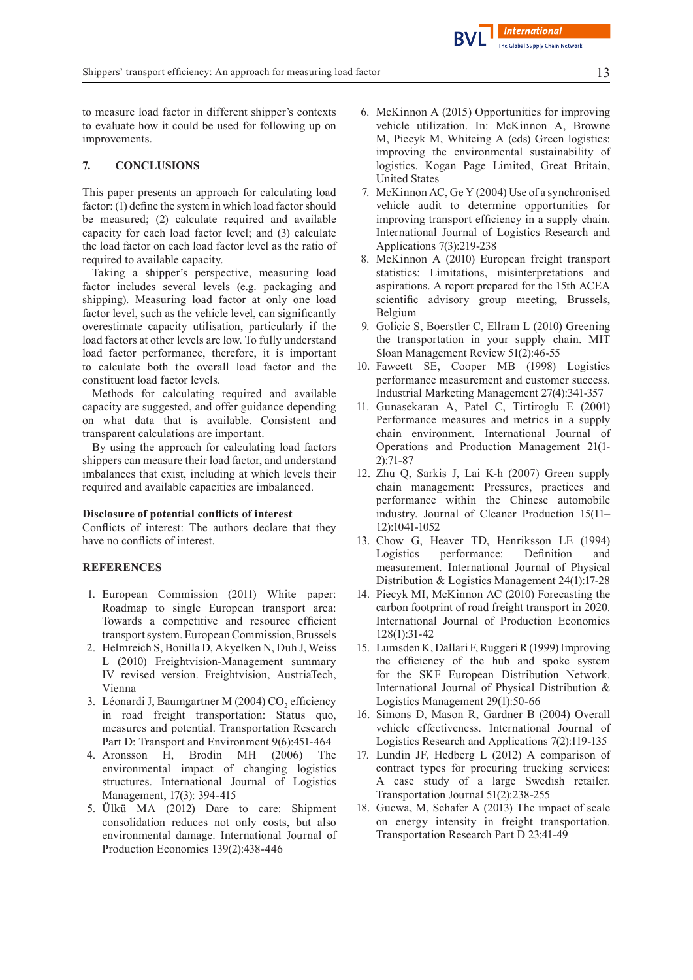to measure load factor in different shipper's contexts to evaluate how it could be used for following up on improvements.

## **7. CONCLUSIONS**

This paper presents an approach for calculating load factor: (1) define the system in which load factor should be measured; (2) calculate required and available capacity for each load factor level; and (3) calculate the load factor on each load factor level as the ratio of required to available capacity.

Taking a shipper's perspective, measuring load factor includes several levels (e.g. packaging and shipping). Measuring load factor at only one load factor level, such as the vehicle level, can significantly overestimate capacity utilisation, particularly if the load factors at other levels are low. To fully understand load factor performance, therefore, it is important to calculate both the overall load factor and the constituent load factor levels.

Methods for calculating required and available capacity are suggested, and offer guidance depending on what data that is available. Consistent and transparent calculations are important.

By using the approach for calculating load factors shippers can measure their load factor, and understand imbalances that exist, including at which levels their required and available capacities are imbalanced.

#### **Disclosure of potential conflicts of interest**

Conflicts of interest: The authors declare that they have no conflicts of interest.

# **REFERENCES**

- 1. European Commission (2011) White paper: Roadmap to single European transport area: Towards a competitive and resource efficient transport system. European Commission, Brussels
- 2. Helmreich S, Bonilla D, Akyelken N, Duh J, Weiss L (2010) Freightvision-Management summary IV revised version. Freightvision, AustriaTech, Vienna
- 3. Léonardi J, Baumgartner M (2004) CO<sub>2</sub> efficiency in road freight transportation: Status quo, measures and potential. Transportation Research Part D: Transport and Environment 9(6):451-464
- 4. Aronsson H, Brodin MH (2006) The environmental impact of changing logistics structures. International Journal of Logistics Management, 17(3): 394-415
- 5. Ülkü MA (2012) Dare to care: Shipment consolidation reduces not only costs, but also environmental damage. International Journal of Production Economics 139(2):438-446
- 6. McKinnon A (2015) Opportunities for improving vehicle utilization. In: McKinnon A, Browne M, Piecyk M, Whiteing A (eds) Green logistics: improving the environmental sustainability of logistics. Kogan Page Limited, Great Britain, United States
- 7. McKinnon AC, Ge Y (2004) Use of a synchronised vehicle audit to determine opportunities for improving transport efficiency in a supply chain. International Journal of Logistics Research and Applications 7(3):219-238
- 8. McKinnon A (2010) European freight transport statistics: Limitations, misinterpretations and aspirations. A report prepared for the 15th ACEA scientific advisory group meeting, Brussels, Belgium
- 9. Golicic S, Boerstler C, Ellram L (2010) Greening the transportation in your supply chain. MIT Sloan Management Review 51(2):46-55
- 10. Fawcett SE, Cooper MB (1998) Logistics performance measurement and customer success. Industrial Marketing Management 27(4):341-357
- 11. Gunasekaran A, Patel C, Tirtiroglu E (2001) Performance measures and metrics in a supply chain environment. International Journal of Operations and Production Management 21(1- 2):71-87
- 12. Zhu Q, Sarkis J, Lai K-h (2007) Green supply chain management: Pressures, practices and performance within the Chinese automobile industry. Journal of Cleaner Production 15(11– 12):1041-1052
- 13. Chow G, Heaver TD, Henriksson LE (1994) Logistics performance: Definition and measurement. International Journal of Physical Distribution & Logistics Management 24(1):17-28
- 14. Piecyk MI, McKinnon AC (2010) Forecasting the carbon footprint of road freight transport in 2020. International Journal of Production Economics 128(1):31-42
- 15. Lumsden K, DallariF,RuggeriR(1999)Improving the efficiency of the hub and spoke system for the SKF European Distribution Network. International Journal of Physical Distribution & Logistics Management 29(1):50-66
- 16. Simons D, Mason R, Gardner B (2004) Overall vehicle effectiveness. International Journal of Logistics Research and Applications 7(2):119-135
- 17. Lundin JF, Hedberg L (2012) A comparison of contract types for procuring trucking services: A case study of a large Swedish retailer. Transportation Journal 51(2):238-255
- 18. Gucwa, M, Schafer A (2013) The impact of scale on energy intensity in freight transportation. Transportation Research Part D 23:41-49

**International**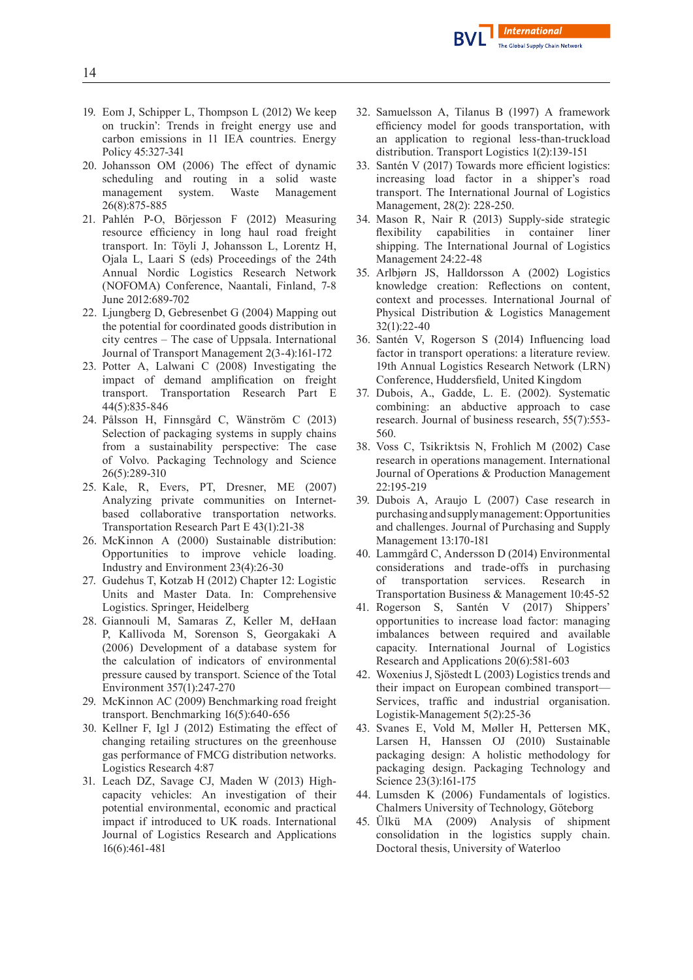

- 19. Eom J, Schipper L, Thompson L (2012) We keep on truckin': Trends in freight energy use and carbon emissions in 11 IEA countries. Energy Policy 45:327-341
- 20. Johansson OM (2006) The effect of dynamic scheduling and routing in a solid waste management system. Waste Management 26(8):875-885
- 21. Pahlén P-O, Börjesson F (2012) Measuring resource efficiency in long haul road freight transport. In: Töyli J, Johansson L, Lorentz H, Ojala L, Laari S (eds) Proceedings of the 24th Annual Nordic Logistics Research Network (NOFOMA) Conference, Naantali, Finland, 7-8 June 2012:689-702
- 22. Ljungberg D, Gebresenbet G (2004) Mapping out the potential for coordinated goods distribution in city centres – The case of Uppsala. International Journal of Transport Management 2(3-4):161-172
- 23. Potter A, Lalwani C (2008) Investigating the impact of demand amplification on freight transport. Transportation Research Part E 44(5):835-846
- 24. Pålsson H, Finnsgård C, Wänström C (2013) Selection of packaging systems in supply chains from a sustainability perspective: The case of Volvo. Packaging Technology and Science 26(5):289-310
- 25. Kale, R, Evers, PT, Dresner, ME (2007) Analyzing private communities on Internetbased collaborative transportation networks. Transportation Research Part E 43(1):21-38
- 26. McKinnon A (2000) Sustainable distribution: Opportunities to improve vehicle loading. Industry and Environment 23(4):26-30
- 27. Gudehus T, Kotzab H (2012) Chapter 12: Logistic Units and Master Data. In: Comprehensive Logistics. Springer, Heidelberg
- 28. Giannouli M, Samaras Z, Keller M, deHaan P, Kallivoda M, Sorenson S, Georgakaki A (2006) Development of a database system for the calculation of indicators of environmental pressure caused by transport. Science of the Total Environment 357(1):247-270
- 29. McKinnon AC (2009) Benchmarking road freight transport. Benchmarking 16(5):640-656
- 30. Kellner F, Igl J (2012) Estimating the effect of changing retailing structures on the greenhouse gas performance of FMCG distribution networks. Logistics Research 4:87
- 31. Leach DZ, Savage CJ, Maden W (2013) Highcapacity vehicles: An investigation of their potential environmental, economic and practical impact if introduced to UK roads. International Journal of Logistics Research and Applications 16(6):461-481
- 32. Samuelsson A, Tilanus B (1997) A framework efficiency model for goods transportation, with an application to regional less-than-truckload distribution. Transport Logistics 1(2):139-151
- 33. Santén V (2017) Towards more efficient logistics: increasing load factor in a shipper's road transport. The International Journal of Logistics Management, 28(2): 228-250.
- 34. Mason R, Nair R (2013) Supply-side strategic flexibility capabilities in container liner shipping. The International Journal of Logistics Management 24:22-48
- 35. Arlbjørn JS, Halldorsson A (2002) Logistics knowledge creation: Reflections on content, context and processes. International Journal of Physical Distribution & Logistics Management 32(1):22-40
- 36. Santén V, Rogerson S (2014) Influencing load factor in transport operations: a literature review. 19th Annual Logistics Research Network (LRN) Conference, Huddersfield, United Kingdom
- 37. Dubois, A., Gadde, L. E. (2002). Systematic combining: an abductive approach to case research. Journal of business research, 55(7):553- 560.
- 38. Voss C, Tsikriktsis N, Frohlich M (2002) Case research in operations management. International Journal of Operations & Production Management 22:195-219
- 39. Dubois A, Araujo L (2007) Case research in purchasingandsupplymanagement:Opportunities and challenges. Journal of Purchasing and Supply Management 13:170-181
- 40. Lammgård C, Andersson D (2014) Environmental considerations and trade-offs in purchasing of transportation services. Research in Transportation Business & Management 10:45-52
- 41. Rogerson S, Santén V (2017) Shippers' opportunities to increase load factor: managing imbalances between required and available capacity. International Journal of Logistics Research and Applications 20(6):581-603
- 42. Woxenius J,Sjöstedt L (2003) Logistics trends and their impact on European combined transport— Services, traffic and industrial organisation. Logistik-Management 5(2):25-36
- 43. Svanes E, Vold M, Møller H, Pettersen MK, Larsen H, Hanssen OJ (2010) Sustainable packaging design: A holistic methodology for packaging design. Packaging Technology and Science 23(3):161-175
- 44. Lumsden K (2006) Fundamentals of logistics. Chalmers University of Technology, Göteborg
- 45. Ülkü MA (2009) Analysis of shipment consolidation in the logistics supply chain. Doctoral thesis, University of Waterloo